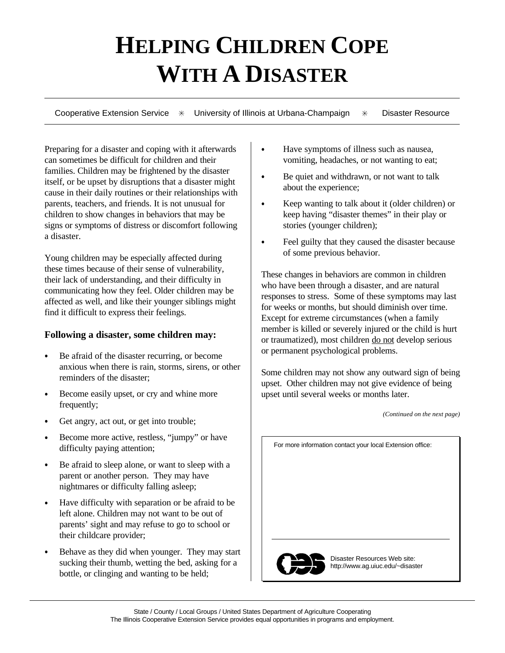## **HELPING CHILDREN COPE WITH A DISASTER**

Cooperative Extension Service  $*$  University of Illinois at Urbana-Champaign  $*$  Disaster Resource

Preparing for a disaster and coping with it afterwards  $\parallel \cdot \cdot \cdot \cdot$  Have symptoms of illness such as nausea, can sometimes be difficult for children and their vomiting, headaches, or not wanting to eat; families. Children may be frightened by the disaster itself, or be upset by disruptions that a disaster might cause in their daily routines or their relationships with parents, teachers, and friends. It is not unusual for Keep wanting to talk about it (older children) or children to show changes in behaviors that may be keep having "disaster themes" in their play or signs or symptoms of distress or discomfort following stories (younger children); a disaster.

Young children may be especially affected during these times because of their sense of vulnerability, their lack of understanding, and their difficulty in communicating how they feel. Older children may be affected as well, and like their younger siblings might find it difficult to express their feelings.

## **Following a disaster, some children may:**

- Be afraid of the disaster recurring, or become anxious when there is rain, storms, sirens, or other reminders of the disaster;
- Become easily upset, or cry and whine more frequently;
- Get angry, act out, or get into trouble;
- Become more active, restless, "jumpy" or have difficulty paying attention;
- Be afraid to sleep alone, or want to sleep with a parent or another person. They may have nightmares or difficulty falling asleep;
- Have difficulty with separation or be afraid to be left alone. Children may not want to be out of parents' sight and may refuse to go to school or their childcare provider;
- Behave as they did when younger. They may start sucking their thumb, wetting the bed, asking for a bottle, or clinging and wanting to be held;
- 
- Be quiet and withdrawn, or not want to talk about the experience;
- 
- Feel guilty that they caused the disaster because of some previous behavior.

These changes in behaviors are common in children who have been through a disaster, and are natural responses to stress. Some of these symptoms may last for weeks or months, but should diminish over time. Except for extreme circumstances (when a family member is killed or severely injured or the child is hurt or traumatized), most children do not develop serious or permanent psychological problems.

Some children may not show any outward sign of being upset. Other children may not give evidence of being upset until several weeks or months later.

*(Continued on the next page)*

For more information contact your local Extension office:



Disaster Resources Web site: http://www.ag.uiuc.edu/~disaster